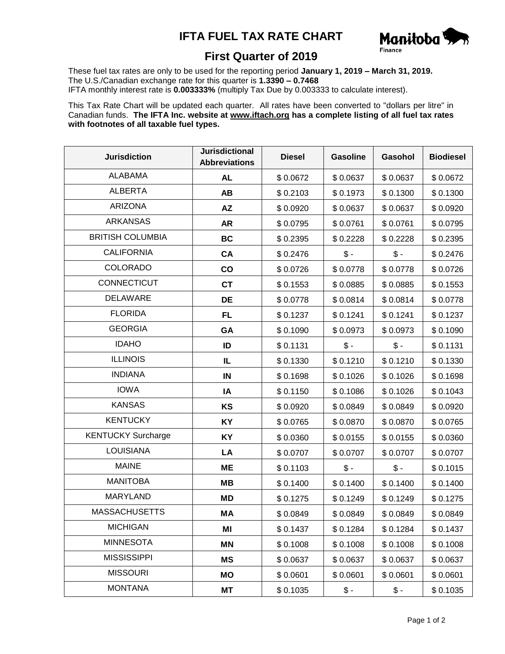## **IFTA FUEL TAX RATE CHART**



## **First Quarter of 2019**

These fuel tax rates are only to be used for the reporting period **January 1, 2019 – March 31, 2019.** The U.S./Canadian exchange rate for this quarter is **1.3390 – 0.7468** IFTA monthly interest rate is **0.003333%** (multiply Tax Due by 0.003333 to calculate interest).

This Tax Rate Chart will be updated each quarter. All rates have been converted to "dollars per litre" in Canadian funds. **The IFTA Inc. website at www.iftach.org has a complete listing of all fuel tax rates with footnotes of all taxable fuel types.**

| <b>Jurisdiction</b>       | <b>Jurisdictional</b><br><b>Abbreviations</b> | <b>Diesel</b> | <b>Gasoline</b> | Gasohol         | <b>Biodiesel</b> |
|---------------------------|-----------------------------------------------|---------------|-----------------|-----------------|------------------|
| <b>ALABAMA</b>            | <b>AL</b>                                     | \$0.0672      | \$0.0637        | \$0.0637        | \$0.0672         |
| <b>ALBERTA</b>            | <b>AB</b>                                     | \$0.2103      | \$0.1973        | \$0.1300        | \$0.1300         |
| <b>ARIZONA</b>            | <b>AZ</b>                                     | \$0.0920      | \$0.0637        | \$0.0637        | \$0.0920         |
| <b>ARKANSAS</b>           | <b>AR</b>                                     | \$0.0795      | \$0.0761        | \$0.0761        | \$0.0795         |
| <b>BRITISH COLUMBIA</b>   | <b>BC</b>                                     | \$0.2395      | \$0.2228        | \$0.2228        | \$0.2395         |
| <b>CALIFORNIA</b>         | CA                                            | \$0.2476      | $\frac{1}{2}$   | $\mathsf{\$}$ - | \$0.2476         |
| <b>COLORADO</b>           | co                                            | \$0.0726      | \$0.0778        | \$0.0778        | \$0.0726         |
| CONNECTICUT               | <b>CT</b>                                     | \$0.1553      | \$0.0885        | \$0.0885        | \$0.1553         |
| <b>DELAWARE</b>           | DE                                            | \$0.0778      | \$0.0814        | \$0.0814        | \$0.0778         |
| <b>FLORIDA</b>            | <b>FL</b>                                     | \$0.1237      | \$0.1241        | \$0.1241        | \$0.1237         |
| <b>GEORGIA</b>            | GA                                            | \$0.1090      | \$0.0973        | \$0.0973        | \$0.1090         |
| <b>IDAHO</b>              | ID                                            | \$0.1131      | $\frac{1}{2}$   | $\frac{1}{2}$   | \$0.1131         |
| <b>ILLINOIS</b>           | IL                                            | \$0.1330      | \$0.1210        | \$0.1210        | \$0.1330         |
| <b>INDIANA</b>            | IN                                            | \$0.1698      | \$0.1026        | \$0.1026        | \$0.1698         |
| <b>IOWA</b>               | IA                                            | \$0.1150      | \$0.1086        | \$0.1026        | \$0.1043         |
| <b>KANSAS</b>             | KS                                            | \$0.0920      | \$0.0849        | \$0.0849        | \$0.0920         |
| <b>KENTUCKY</b>           | <b>KY</b>                                     | \$0.0765      | \$0.0870        | \$0.0870        | \$0.0765         |
| <b>KENTUCKY Surcharge</b> | KY                                            | \$0.0360      | \$0.0155        | \$0.0155        | \$0.0360         |
| <b>LOUISIANA</b>          | LA                                            | \$0.0707      | \$0.0707        | \$0.0707        | \$0.0707         |
| <b>MAINE</b>              | <b>ME</b>                                     | \$0.1103      | $$ -$           | $\frac{2}{3}$ . | \$0.1015         |
| <b>MANITOBA</b>           | MВ                                            | \$0.1400      | \$0.1400        | \$0.1400        | \$0.1400         |
| <b>MARYLAND</b>           | MD                                            | \$0.1275      | \$0.1249        | \$0.1249        | \$0.1275         |
| <b>MASSACHUSETTS</b>      | МA                                            | \$0.0849      | \$0.0849        | \$0.0849        | \$0.0849         |
| <b>MICHIGAN</b>           | ΜI                                            | \$0.1437      | \$0.1284        | \$0.1284        | \$0.1437         |
| <b>MINNESOTA</b>          | <b>MN</b>                                     | \$0.1008      | \$0.1008        | \$0.1008        | \$0.1008         |
| <b>MISSISSIPPI</b>        | <b>MS</b>                                     | \$0.0637      | \$0.0637        | \$0.0637        | \$0.0637         |
| <b>MISSOURI</b>           | MO                                            | \$0.0601      | \$0.0601        | \$0.0601        | \$0.0601         |
| <b>MONTANA</b>            | МT                                            | \$0.1035      | $\frac{1}{2}$   | $\frac{1}{2}$   | \$0.1035         |